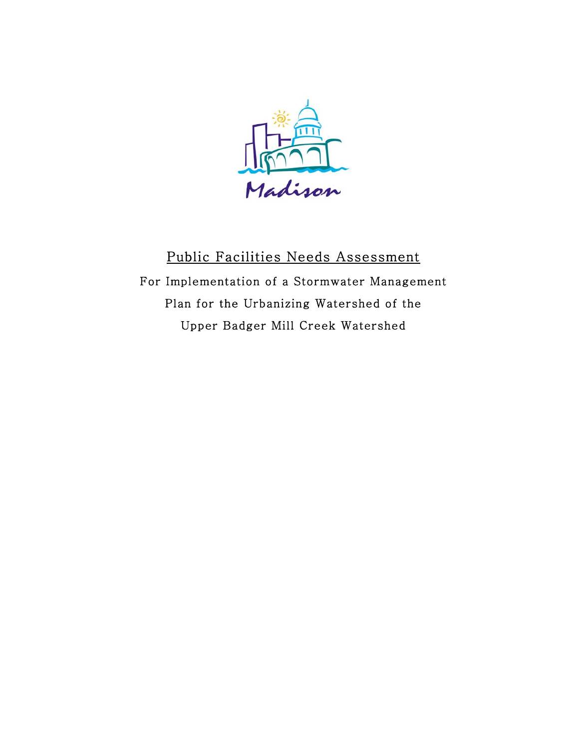

# Public Facilities Needs Assessment For Implementation of a Stormwater Management Plan for the Urbanizing Watershed of the Upper Badger Mill Creek Watershed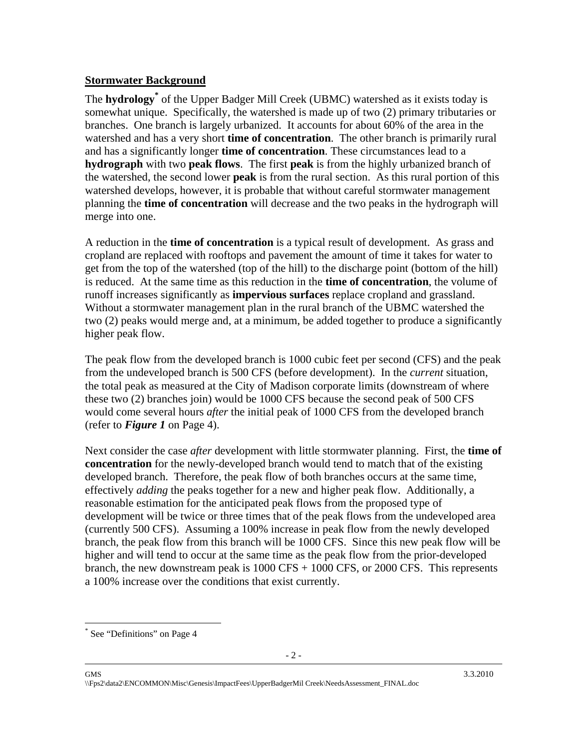#### **Stormwater Background**

The **hydrology\*** of the Upper Badger Mill Creek (UBMC) watershed as it exists today is somewhat unique. Specifically, the watershed is made up of two (2) primary tributaries or branches. One branch is largely urbanized. It accounts for about 60% of the area in the watershed and has a very short **time of concentration**. The other branch is primarily rural and has a significantly longer **time of concentration**. These circumstances lead to a **hydrograph** with two **peak flows**. The first **peak** is from the highly urbanized branch of the watershed, the second lower **peak** is from the rural section. As this rural portion of this watershed develops, however, it is probable that without careful stormwater management planning the **time of concentration** will decrease and the two peaks in the hydrograph will merge into one.

A reduction in the **time of concentration** is a typical result of development. As grass and cropland are replaced with rooftops and pavement the amount of time it takes for water to get from the top of the watershed (top of the hill) to the discharge point (bottom of the hill) is reduced. At the same time as this reduction in the **time of concentration**, the volume of runoff increases significantly as **impervious surfaces** replace cropland and grassland. Without a stormwater management plan in the rural branch of the UBMC watershed the two (2) peaks would merge and, at a minimum, be added together to produce a significantly higher peak flow.

The peak flow from the developed branch is 1000 cubic feet per second (CFS) and the peak from the undeveloped branch is 500 CFS (before development). In the *current* situation, the total peak as measured at the City of Madison corporate limits (downstream of where these two (2) branches join) would be 1000 CFS because the second peak of 500 CFS would come several hours *after* the initial peak of 1000 CFS from the developed branch (refer to *Figure 1* on Page 4).

Next consider the case *after* development with little stormwater planning. First, the **time of concentration** for the newly-developed branch would tend to match that of the existing developed branch. Therefore, the peak flow of both branches occurs at the same time, effectively *adding* the peaks together for a new and higher peak flow. Additionally, a reasonable estimation for the anticipated peak flows from the proposed type of development will be twice or three times that of the peak flows from the undeveloped area (currently 500 CFS). Assuming a 100% increase in peak flow from the newly developed branch, the peak flow from this branch will be 1000 CFS. Since this new peak flow will be higher and will tend to occur at the same time as the peak flow from the prior-developed branch, the new downstream peak is  $1000 \text{ CFS} + 1000 \text{ CFS}$ , or  $2000 \text{ CFS}$ . This represents a 100% increase over the conditions that exist currently.

 $\overline{a}$ \* See "Definitions" on Page 4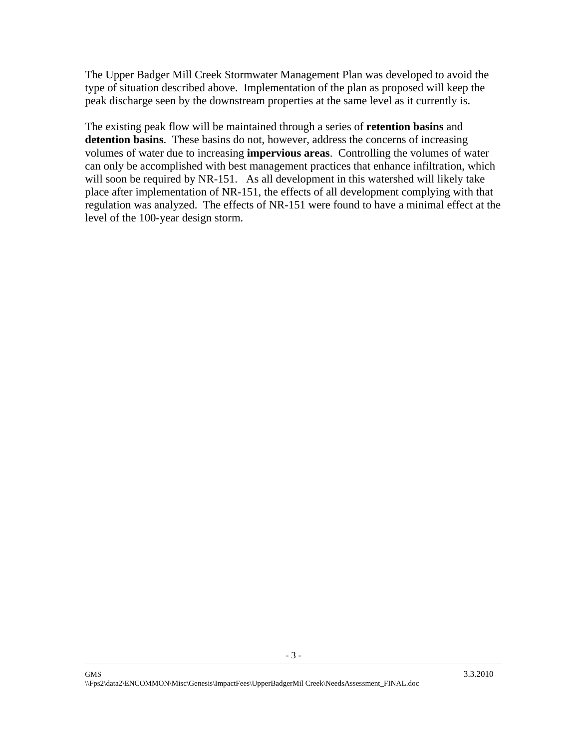The Upper Badger Mill Creek Stormwater Management Plan was developed to avoid the type of situation described above. Implementation of the plan as proposed will keep the peak discharge seen by the downstream properties at the same level as it currently is.

The existing peak flow will be maintained through a series of **retention basins** and **detention basins**. These basins do not, however, address the concerns of increasing volumes of water due to increasing **impervious areas**. Controlling the volumes of water can only be accomplished with best management practices that enhance infiltration, which will soon be required by NR-151. As all development in this watershed will likely take place after implementation of NR-151, the effects of all development complying with that regulation was analyzed. The effects of NR-151 were found to have a minimal effect at the level of the 100-year design storm.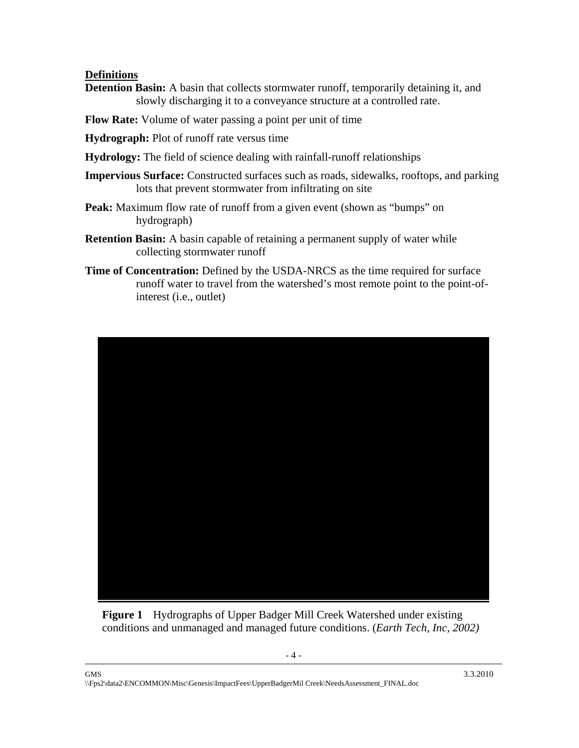#### **Definitions**

- **Detention Basin:** A basin that collects stormwater runoff, temporarily detaining it, and slowly discharging it to a conveyance structure at a controlled rate.
- **Flow Rate:** Volume of water passing a point per unit of time
- **Hydrograph:** Plot of runoff rate versus time
- **Hydrology:** The field of science dealing with rainfall-runoff relationships
- **Impervious Surface:** Constructed surfaces such as roads, sidewalks, rooftops, and parking lots that prevent stormwater from infiltrating on site
- **Peak:** Maximum flow rate of runoff from a given event (shown as "bumps" on hydrograph)
- **Retention Basin:** A basin capable of retaining a permanent supply of water while collecting stormwater runoff
- **Time of Concentration:** Defined by the USDA-NRCS as the time required for surface runoff water to travel from the watershed's most remote point to the point-ofinterest (i.e., outlet)



**Figure 1** Hydrographs of Upper Badger Mill Creek Watershed under existing conditions and unmanaged and managed future conditions. (*Earth Tech, Inc, 2002)*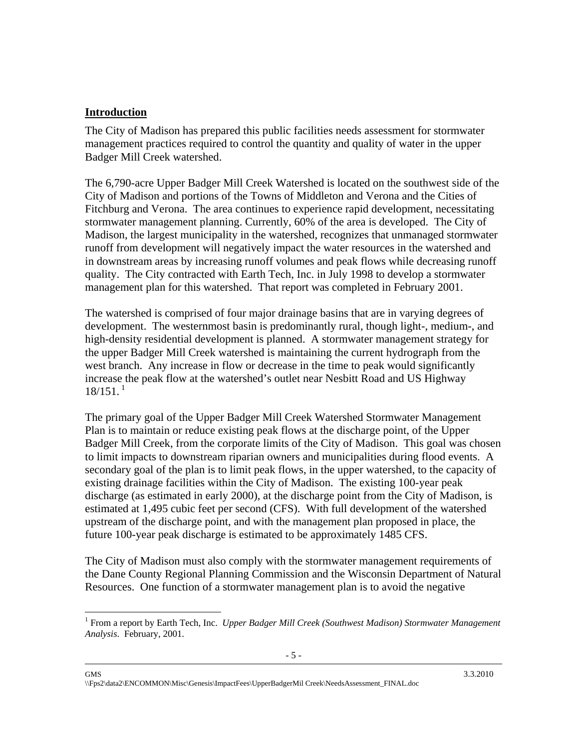#### **Introduction**

 $\overline{a}$ 

The City of Madison has prepared this public facilities needs assessment for stormwater management practices required to control the quantity and quality of water in the upper Badger Mill Creek watershed.

The 6,790-acre Upper Badger Mill Creek Watershed is located on the southwest side of the City of Madison and portions of the Towns of Middleton and Verona and the Cities of Fitchburg and Verona. The area continues to experience rapid development, necessitating stormwater management planning. Currently, 60% of the area is developed. The City of Madison, the largest municipality in the watershed, recognizes that unmanaged stormwater runoff from development will negatively impact the water resources in the watershed and in downstream areas by increasing runoff volumes and peak flows while decreasing runoff quality. The City contracted with Earth Tech, Inc. in July 1998 to develop a stormwater management plan for this watershed. That report was completed in February 2001.

The watershed is comprised of four major drainage basins that are in varying degrees of development. The westernmost basin is predominantly rural, though light-, medium-, and high-density residential development is planned. A stormwater management strategy for the upper Badger Mill Creek watershed is maintaining the current hydrograph from the west branch. Any increase in flow or decrease in the time to peak would significantly increase the peak flow at the watershed's outlet near Nesbitt Road and US Highway  $18/151$ .<sup>1</sup>

The primary goal of the Upper Badger Mill Creek Watershed Stormwater Management Plan is to maintain or reduce existing peak flows at the discharge point, of the Upper Badger Mill Creek, from the corporate limits of the City of Madison. This goal was chosen to limit impacts to downstream riparian owners and municipalities during flood events. A secondary goal of the plan is to limit peak flows, in the upper watershed, to the capacity of existing drainage facilities within the City of Madison. The existing 100-year peak discharge (as estimated in early 2000), at the discharge point from the City of Madison, is estimated at 1,495 cubic feet per second (CFS). With full development of the watershed upstream of the discharge point, and with the management plan proposed in place, the future 100-year peak discharge is estimated to be approximately 1485 CFS.

The City of Madison must also comply with the stormwater management requirements of the Dane County Regional Planning Commission and the Wisconsin Department of Natural Resources. One function of a stormwater management plan is to avoid the negative

<sup>&</sup>lt;sup>1</sup> From a report by Earth Tech, Inc. *Upper Badger Mill Creek (Southwest Madison) Stormwater Management Analysis*. February, 2001.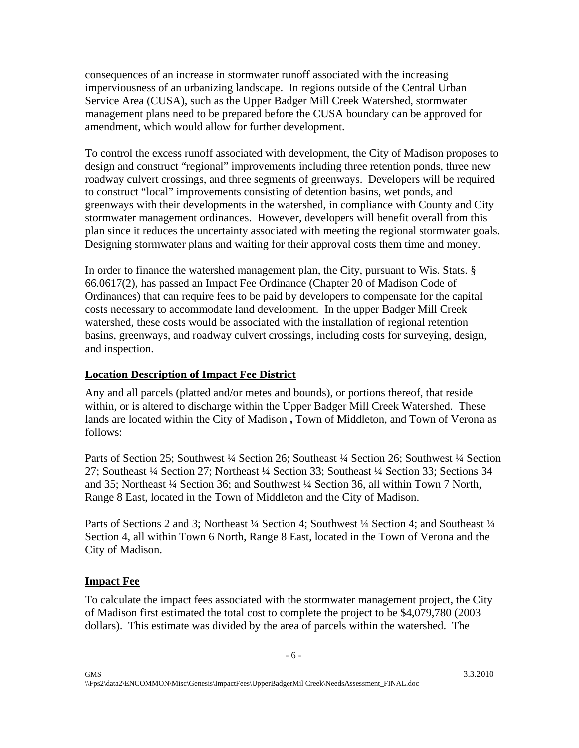consequences of an increase in stormwater runoff associated with the increasing imperviousness of an urbanizing landscape. In regions outside of the Central Urban Service Area (CUSA), such as the Upper Badger Mill Creek Watershed, stormwater management plans need to be prepared before the CUSA boundary can be approved for amendment, which would allow for further development.

To control the excess runoff associated with development, the City of Madison proposes to design and construct "regional" improvements including three retention ponds, three new roadway culvert crossings, and three segments of greenways. Developers will be required to construct "local" improvements consisting of detention basins, wet ponds, and greenways with their developments in the watershed, in compliance with County and City stormwater management ordinances. However, developers will benefit overall from this plan since it reduces the uncertainty associated with meeting the regional stormwater goals. Designing stormwater plans and waiting for their approval costs them time and money.

In order to finance the watershed management plan, the City, pursuant to Wis. Stats. § 66.0617(2), has passed an Impact Fee Ordinance (Chapter 20 of Madison Code of Ordinances) that can require fees to be paid by developers to compensate for the capital costs necessary to accommodate land development. In the upper Badger Mill Creek watershed, these costs would be associated with the installation of regional retention basins, greenways, and roadway culvert crossings, including costs for surveying, design, and inspection.

#### **Location Description of Impact Fee District**

Any and all parcels (platted and/or metes and bounds), or portions thereof, that reside within, or is altered to discharge within the Upper Badger Mill Creek Watershed. These lands are located within the City of Madison **,** Town of Middleton, and Town of Verona as follows:

Parts of Section 25; Southwest ¼ Section 26; Southeast ¼ Section 26; Southwest ¼ Section 27; Southeast ¼ Section 27; Northeast ¼ Section 33; Southeast ¼ Section 33; Sections 34 and 35; Northeast ¼ Section 36; and Southwest ¼ Section 36, all within Town 7 North, Range 8 East, located in the Town of Middleton and the City of Madison.

Parts of Sections 2 and 3; Northeast ¼ Section 4; Southwest ¼ Section 4; and Southeast ¼ Section 4, all within Town 6 North, Range 8 East, located in the Town of Verona and the City of Madison.

# **Impact Fee**

To calculate the impact fees associated with the stormwater management project, the City of Madison first estimated the total cost to complete the project to be \$4,079,780 (2003 dollars). This estimate was divided by the area of parcels within the watershed. The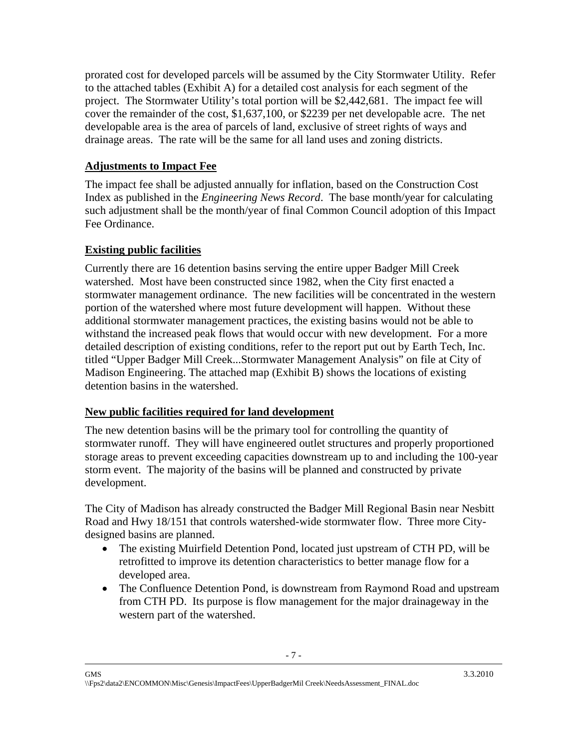prorated cost for developed parcels will be assumed by the City Stormwater Utility. Refer to the attached tables (Exhibit A) for a detailed cost analysis for each segment of the project. The Stormwater Utility's total portion will be \$2,442,681. The impact fee will cover the remainder of the cost, \$1,637,100, or \$2239 per net developable acre. The net developable area is the area of parcels of land, exclusive of street rights of ways and drainage areas. The rate will be the same for all land uses and zoning districts.

# **Adjustments to Impact Fee**

The impact fee shall be adjusted annually for inflation, based on the Construction Cost Index as published in the *Engineering News Record*. The base month/year for calculating such adjustment shall be the month/year of final Common Council adoption of this Impact Fee Ordinance.

# **Existing public facilities**

Currently there are 16 detention basins serving the entire upper Badger Mill Creek watershed. Most have been constructed since 1982, when the City first enacted a stormwater management ordinance. The new facilities will be concentrated in the western portion of the watershed where most future development will happen. Without these additional stormwater management practices, the existing basins would not be able to withstand the increased peak flows that would occur with new development. For a more detailed description of existing conditions, refer to the report put out by Earth Tech, Inc. titled "Upper Badger Mill Creek...Stormwater Management Analysis" on file at City of Madison Engineering. The attached map (Exhibit B) shows the locations of existing detention basins in the watershed.

#### **New public facilities required for land development**

The new detention basins will be the primary tool for controlling the quantity of stormwater runoff. They will have engineered outlet structures and properly proportioned storage areas to prevent exceeding capacities downstream up to and including the 100-year storm event. The majority of the basins will be planned and constructed by private development.

The City of Madison has already constructed the Badger Mill Regional Basin near Nesbitt Road and Hwy 18/151 that controls watershed-wide stormwater flow. Three more Citydesigned basins are planned.

- The existing Muirfield Detention Pond, located just upstream of CTH PD, will be retrofitted to improve its detention characteristics to better manage flow for a developed area.
- The Confluence Detention Pond, is downstream from Raymond Road and upstream from CTH PD. Its purpose is flow management for the major drainageway in the western part of the watershed.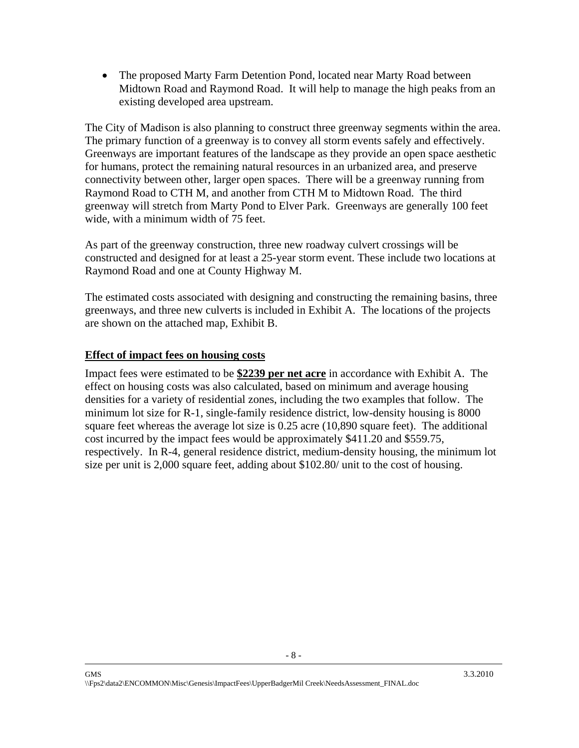• The proposed Marty Farm Detention Pond, located near Marty Road between Midtown Road and Raymond Road. It will help to manage the high peaks from an existing developed area upstream.

The City of Madison is also planning to construct three greenway segments within the area. The primary function of a greenway is to convey all storm events safely and effectively. Greenways are important features of the landscape as they provide an open space aesthetic for humans, protect the remaining natural resources in an urbanized area, and preserve connectivity between other, larger open spaces. There will be a greenway running from Raymond Road to CTH M, and another from CTH M to Midtown Road. The third greenway will stretch from Marty Pond to Elver Park. Greenways are generally 100 feet wide, with a minimum width of 75 feet.

As part of the greenway construction, three new roadway culvert crossings will be constructed and designed for at least a 25-year storm event. These include two locations at Raymond Road and one at County Highway M.

The estimated costs associated with designing and constructing the remaining basins, three greenways, and three new culverts is included in Exhibit A. The locations of the projects are shown on the attached map, Exhibit B.

# **Effect of impact fees on housing costs**

Impact fees were estimated to be **\$2239 per net acre** in accordance with Exhibit A. The effect on housing costs was also calculated, based on minimum and average housing densities for a variety of residential zones, including the two examples that follow. The minimum lot size for R-1, single-family residence district, low-density housing is 8000 square feet whereas the average lot size is 0.25 acre (10,890 square feet). The additional cost incurred by the impact fees would be approximately \$411.20 and \$559.75, respectively. In R-4, general residence district, medium-density housing, the minimum lot size per unit is 2,000 square feet, adding about \$102.80/ unit to the cost of housing.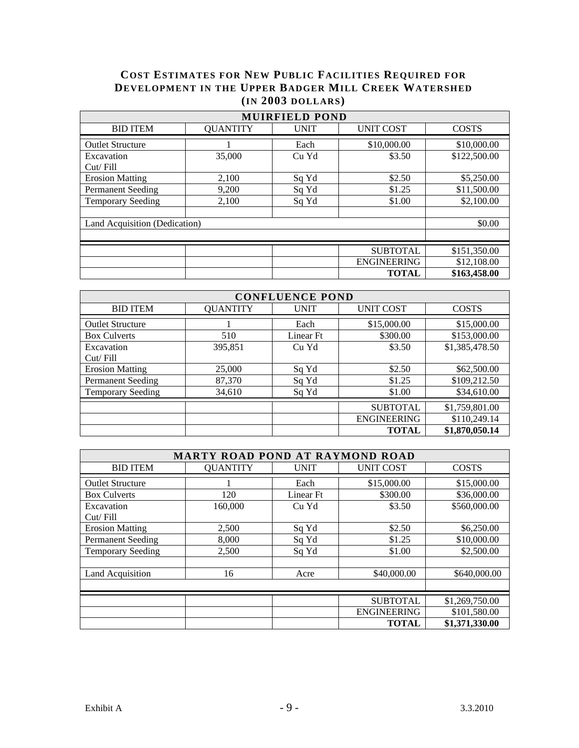# **COST ESTIMATES FOR NEW PUBLIC FACILITIES REQUIRED FOR DEVELOPMENT IN THE UPPER BADGER MILL CREEK WATERSHED (IN 2003 DOLLARS)**

| <b>MUIRFIELD POND</b>         |                 |             |                    |              |  |
|-------------------------------|-----------------|-------------|--------------------|--------------|--|
| <b>BID ITEM</b>               | <b>QUANTITY</b> | <b>UNIT</b> | <b>UNIT COST</b>   | <b>COSTS</b> |  |
| <b>Outlet Structure</b>       |                 | Each        | \$10,000.00        | \$10,000.00  |  |
| Excavation<br>Cut/Fill        | 35,000          | Cu Yd       | \$3.50             | \$122,500.00 |  |
| <b>Erosion Matting</b>        | 2,100           | Sq Yd       | \$2.50             | \$5,250.00   |  |
| <b>Permanent Seeding</b>      | 9,200           | Sq Yd       | \$1.25             | \$11,500.00  |  |
| <b>Temporary Seeding</b>      | 2,100           | Sq Yd       | \$1.00             | \$2,100.00   |  |
|                               |                 |             |                    |              |  |
| Land Acquisition (Dedication) | \$0.00          |             |                    |              |  |
|                               |                 |             |                    |              |  |
|                               |                 |             | <b>SUBTOTAL</b>    | \$151,350.00 |  |
|                               |                 |             | <b>ENGINEERING</b> | \$12,108.00  |  |
|                               |                 |             | <b>TOTAL</b>       | \$163,458.00 |  |

| <b>CONFLUENCE POND</b>   |                 |             |                    |                |  |
|--------------------------|-----------------|-------------|--------------------|----------------|--|
| <b>BID ITEM</b>          | <b>QUANTITY</b> | <b>UNIT</b> | <b>UNIT COST</b>   | <b>COSTS</b>   |  |
| <b>Outlet Structure</b>  |                 | Each        | \$15,000.00        | \$15,000.00    |  |
| <b>Box Culverts</b>      | 510             | Linear Ft   | \$300.00           | \$153,000.00   |  |
| Excavation               | 395,851         | Cu Yd       | \$3.50             | \$1,385,478.50 |  |
| Cut / Fill               |                 |             |                    |                |  |
| <b>Erosion Matting</b>   | 25,000          | Sq Yd       | \$2.50             | \$62,500.00    |  |
| <b>Permanent Seeding</b> | 87,370          | Sq Yd       | \$1.25             | \$109,212.50   |  |
| <b>Temporary Seeding</b> | 34,610          | Sq Yd       | \$1.00             | \$34,610.00    |  |
|                          |                 |             | <b>SUBTOTAL</b>    | \$1,759,801.00 |  |
|                          |                 |             | <b>ENGINEERING</b> | \$110,249.14   |  |
|                          |                 |             | <b>TOTAL</b>       | \$1,870,050.14 |  |

| <b>MARTY ROAD POND AT RAYMOND ROAD</b> |                 |             |                    |                |  |
|----------------------------------------|-----------------|-------------|--------------------|----------------|--|
| <b>BID ITEM</b>                        | <b>QUANTITY</b> | <b>UNIT</b> | <b>UNIT COST</b>   | <b>COSTS</b>   |  |
| <b>Outlet Structure</b>                |                 | Each        | \$15,000.00        | \$15,000.00    |  |
| <b>Box Culverts</b>                    | 120             | Linear Ft   | \$300.00           | \$36,000.00    |  |
| Excavation<br>Cut / Fill               | 160,000         | Cu Yd       | \$3.50             | \$560,000.00   |  |
| <b>Erosion Matting</b>                 | 2,500           | Sq Yd       | \$2.50             | \$6,250.00     |  |
| <b>Permanent Seeding</b>               | 8,000           | Sq Yd       | \$1.25             | \$10,000.00    |  |
| <b>Temporary Seeding</b>               | 2,500           | Sq Yd       | \$1.00             | \$2,500.00     |  |
| Land Acquisition                       | 16              | Acre        | \$40,000.00        | \$640,000.00   |  |
|                                        |                 |             | <b>SUBTOTAL</b>    | \$1,269,750.00 |  |
|                                        |                 |             | <b>ENGINEERING</b> | \$101,580.00   |  |
|                                        |                 |             | <b>TOTAL</b>       | \$1,371,330.00 |  |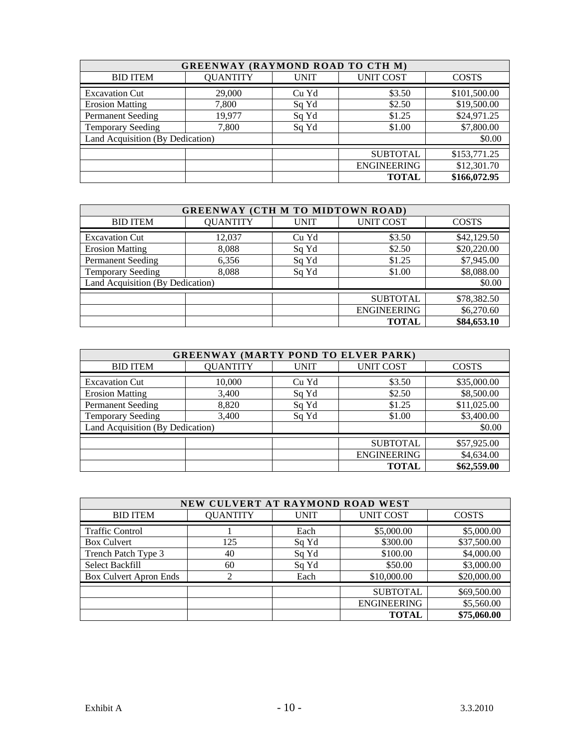| <b>GREENWAY (RAYMOND ROAD TO CTH M)</b> |                 |             |                    |              |  |
|-----------------------------------------|-----------------|-------------|--------------------|--------------|--|
| <b>BID ITEM</b>                         | <b>QUANTITY</b> | <b>UNIT</b> | <b>UNIT COST</b>   | <b>COSTS</b> |  |
| <b>Excavation Cut</b>                   | 29,000          | Cu Yd       | \$3.50             | \$101,500.00 |  |
| <b>Erosion Matting</b>                  | 7,800           | Sq Yd       | \$2.50             | \$19,500.00  |  |
| <b>Permanent Seeding</b>                | 19,977          | Sq Yd       | \$1.25             | \$24,971.25  |  |
| <b>Temporary Seeding</b>                | 7,800           | Sq Yd       | \$1.00             | \$7,800.00   |  |
| Land Acquisition (By Dedication)        |                 |             | \$0.00             |              |  |
|                                         |                 |             | <b>SUBTOTAL</b>    | \$153,771.25 |  |
|                                         |                 |             | <b>ENGINEERING</b> | \$12,301.70  |  |
|                                         |                 |             | <b>TOTAL</b>       | \$166,072.95 |  |

| <b>GREENWAY (CTH M TO MIDTOWN ROAD)</b> |                 |             |                    |              |  |
|-----------------------------------------|-----------------|-------------|--------------------|--------------|--|
| <b>BID ITEM</b>                         | <b>QUANTITY</b> | <b>UNIT</b> | <b>UNIT COST</b>   | <b>COSTS</b> |  |
| <b>Excavation Cut</b>                   | 12,037          | Cu Yd       | \$3.50             | \$42,129.50  |  |
| <b>Erosion Matting</b>                  | 8,088           | Sq Yd       | \$2.50             | \$20,220.00  |  |
| <b>Permanent Seeding</b>                | 6,356           | Sq Yd       | \$1.25             | \$7,945.00   |  |
| <b>Temporary Seeding</b>                | 8,088           | Sq Yd       | \$1.00             | \$8,088.00   |  |
| Land Acquisition (By Dedication)        |                 |             | \$0.00             |              |  |
|                                         |                 |             | <b>SUBTOTAL</b>    | \$78,382.50  |  |
|                                         |                 |             | <b>ENGINEERING</b> | \$6,270.60   |  |
|                                         |                 |             | <b>TOTAL</b>       | \$84,653.10  |  |

| <b>GREENWAY (MARTY POND TO ELVER PARK)</b> |                 |             |                    |              |  |  |
|--------------------------------------------|-----------------|-------------|--------------------|--------------|--|--|
| <b>BID ITEM</b>                            | <b>QUANTITY</b> | <b>UNIT</b> | <b>UNIT COST</b>   | <b>COSTS</b> |  |  |
| <b>Excavation Cut</b>                      | 10,000          | Cu Yd       | \$3.50             | \$35,000.00  |  |  |
| <b>Erosion Matting</b>                     | 3,400           | Sq Yd       | \$2.50             | \$8,500.00   |  |  |
| <b>Permanent Seeding</b>                   | 8,820           | Sq Yd       | \$1.25             | \$11,025.00  |  |  |
| <b>Temporary Seeding</b>                   | 3,400           | Sq Yd       | \$1.00             | \$3,400.00   |  |  |
| Land Acquisition (By Dedication)           |                 |             |                    | \$0.00       |  |  |
|                                            |                 |             | <b>SUBTOTAL</b>    | \$57,925.00  |  |  |
|                                            |                 |             | <b>ENGINEERING</b> | \$4,634.00   |  |  |
|                                            |                 |             | <b>TOTAL</b>       | \$62,559.00  |  |  |

| NEW CULVERT AT RAYMOND ROAD WEST |                 |             |                    |              |  |
|----------------------------------|-----------------|-------------|--------------------|--------------|--|
| <b>BID ITEM</b>                  | <b>QUANTITY</b> | <b>UNIT</b> | <b>UNIT COST</b>   | <b>COSTS</b> |  |
| <b>Traffic Control</b>           |                 | Each        | \$5,000.00         | \$5,000.00   |  |
| <b>Box Culvert</b>               | 125             | Sq Yd       | \$300.00           | \$37,500.00  |  |
| Trench Patch Type 3              | 40              | Sq Yd       | \$100.00           | \$4,000.00   |  |
| <b>Select Backfill</b>           | 60              | Sq Yd       | \$50.00            | \$3,000.00   |  |
| <b>Box Culvert Apron Ends</b>    | ↑               | Each        | \$10,000.00        | \$20,000.00  |  |
|                                  |                 |             | <b>SUBTOTAL</b>    | \$69,500.00  |  |
|                                  |                 |             | <b>ENGINEERING</b> | \$5,560.00   |  |
|                                  |                 |             | TOTAL              | \$75,060.00  |  |